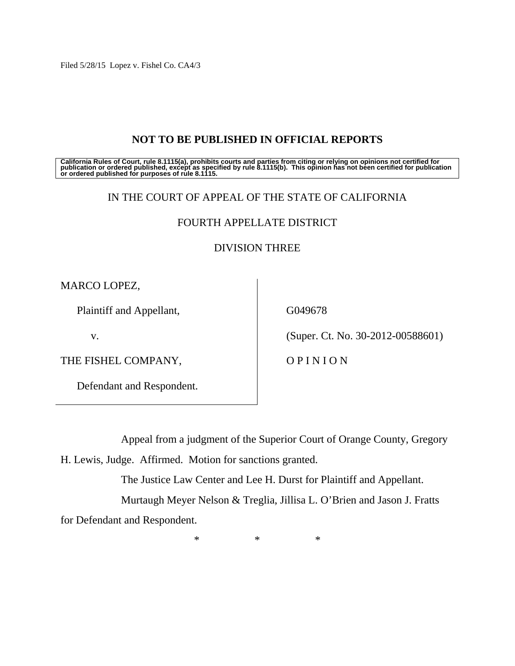Filed 5/28/15 Lopez v. Fishel Co. CA4/3

# **NOT TO BE PUBLISHED IN OFFICIAL REPORTS**

California Rules of Court, rule 8.1115(a), prohibits courts and parties from citing or relying on opinions not certified for<br>publication or ordered published, except as specified by rule 8.1115(b). This opinion has not be

## IN THE COURT OF APPEAL OF THE STATE OF CALIFORNIA

# FOURTH APPELLATE DISTRICT

## DIVISION THREE

MARCO LOPEZ,

Plaintiff and Appellant,

v.

THE FISHEL COMPANY,

Defendant and Respondent.

G049678

(Super. Ct. No. 30-2012-00588601)

O P I N I O N

Appeal from a judgment of the Superior Court of Orange County, Gregory

H. Lewis, Judge. Affirmed. Motion for sanctions granted.

The Justice Law Center and Lee H. Durst for Plaintiff and Appellant.

Murtaugh Meyer Nelson & Treglia, Jillisa L. O'Brien and Jason J. Fratts

for Defendant and Respondent.

 $*$  \*  $*$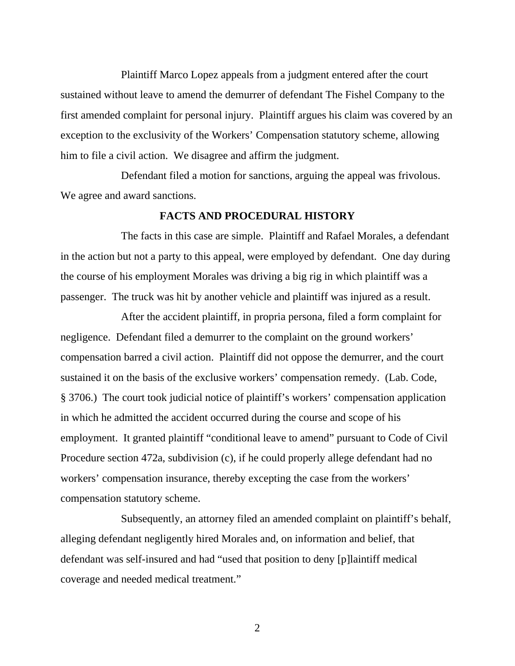Plaintiff Marco Lopez appeals from a judgment entered after the court sustained without leave to amend the demurrer of defendant The Fishel Company to the first amended complaint for personal injury. Plaintiff argues his claim was covered by an exception to the exclusivity of the Workers' Compensation statutory scheme, allowing him to file a civil action. We disagree and affirm the judgment.

 Defendant filed a motion for sanctions, arguing the appeal was frivolous. We agree and award sanctions.

#### **FACTS AND PROCEDURAL HISTORY**

 The facts in this case are simple. Plaintiff and Rafael Morales, a defendant in the action but not a party to this appeal, were employed by defendant. One day during the course of his employment Morales was driving a big rig in which plaintiff was a passenger. The truck was hit by another vehicle and plaintiff was injured as a result.

 After the accident plaintiff, in propria persona, filed a form complaint for negligence. Defendant filed a demurrer to the complaint on the ground workers' compensation barred a civil action. Plaintiff did not oppose the demurrer, and the court sustained it on the basis of the exclusive workers' compensation remedy. (Lab. Code, § 3706.) The court took judicial notice of plaintiff's workers' compensation application in which he admitted the accident occurred during the course and scope of his employment. It granted plaintiff "conditional leave to amend" pursuant to Code of Civil Procedure section 472a, subdivision (c), if he could properly allege defendant had no workers' compensation insurance, thereby excepting the case from the workers' compensation statutory scheme.

 Subsequently, an attorney filed an amended complaint on plaintiff's behalf, alleging defendant negligently hired Morales and, on information and belief, that defendant was self-insured and had "used that position to deny [p]laintiff medical coverage and needed medical treatment."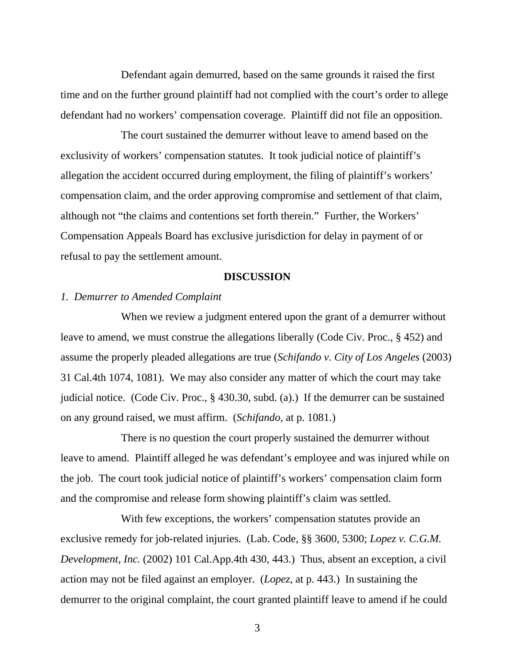Defendant again demurred, based on the same grounds it raised the first time and on the further ground plaintiff had not complied with the court's order to allege defendant had no workers' compensation coverage. Plaintiff did not file an opposition.

 The court sustained the demurrer without leave to amend based on the exclusivity of workers' compensation statutes. It took judicial notice of plaintiff's allegation the accident occurred during employment, the filing of plaintiff's workers' compensation claim, and the order approving compromise and settlement of that claim, although not "the claims and contentions set forth therein." Further, the Workers' Compensation Appeals Board has exclusive jurisdiction for delay in payment of or refusal to pay the settlement amount.

#### **DISCUSSION**

### *1. Demurrer to Amended Complaint*

 When we review a judgment entered upon the grant of a demurrer without leave to amend, we must construe the allegations liberally (Code Civ. Proc., § 452) and assume the properly pleaded allegations are true (*Schifando v. City of Los Angeles* (2003) 31 Cal.4th 1074, 1081). We may also consider any matter of which the court may take judicial notice. (Code Civ. Proc., § 430.30, subd. (a).) If the demurrer can be sustained on any ground raised, we must affirm. (*Schifando,* at p. 1081.)

 There is no question the court properly sustained the demurrer without leave to amend. Plaintiff alleged he was defendant's employee and was injured while on the job. The court took judicial notice of plaintiff's workers' compensation claim form and the compromise and release form showing plaintiff's claim was settled.

 With few exceptions, the workers' compensation statutes provide an exclusive remedy for job-related injuries. (Lab. Code, §§ 3600, 5300; *Lopez v. C.G.M. Development, Inc.* (2002) 101 Cal.App.4th 430, 443.) Thus, absent an exception, a civil action may not be filed against an employer. (*Lopez*, at p. 443.) In sustaining the demurrer to the original complaint, the court granted plaintiff leave to amend if he could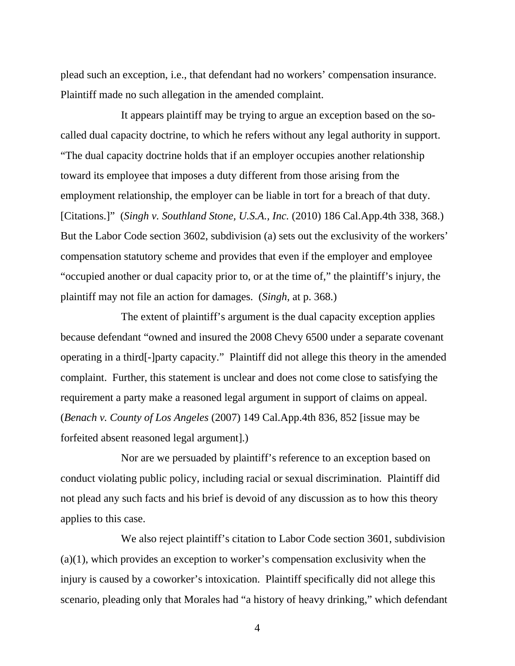plead such an exception, i.e., that defendant had no workers' compensation insurance. Plaintiff made no such allegation in the amended complaint.

 It appears plaintiff may be trying to argue an exception based on the socalled dual capacity doctrine, to which he refers without any legal authority in support. "The dual capacity doctrine holds that if an employer occupies another relationship toward its employee that imposes a duty different from those arising from the employment relationship, the employer can be liable in tort for a breach of that duty. [Citations.]" (*Singh v. Southland Stone, U.S.A., Inc.* (2010) 186 Cal.App.4th 338, 368.) But the Labor Code section 3602, subdivision (a) sets out the exclusivity of the workers' compensation statutory scheme and provides that even if the employer and employee "occupied another or dual capacity prior to, or at the time of," the plaintiff's injury, the plaintiff may not file an action for damages. (*Singh,* at p. 368.)

 The extent of plaintiff's argument is the dual capacity exception applies because defendant "owned and insured the 2008 Chevy 6500 under a separate covenant operating in a third[-]party capacity." Plaintiff did not allege this theory in the amended complaint. Further, this statement is unclear and does not come close to satisfying the requirement a party make a reasoned legal argument in support of claims on appeal. (*Benach v. County of Los Angeles* (2007) 149 Cal.App.4th 836, 852 [issue may be forfeited absent reasoned legal argument].)

 Nor are we persuaded by plaintiff's reference to an exception based on conduct violating public policy, including racial or sexual discrimination. Plaintiff did not plead any such facts and his brief is devoid of any discussion as to how this theory applies to this case.

 We also reject plaintiff's citation to Labor Code section 3601, subdivision  $(a)(1)$ , which provides an exception to worker's compensation exclusivity when the injury is caused by a coworker's intoxication. Plaintiff specifically did not allege this scenario, pleading only that Morales had "a history of heavy drinking," which defendant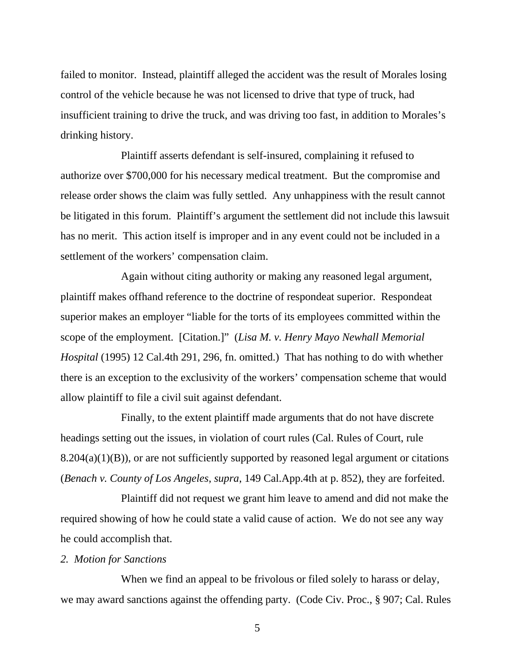failed to monitor. Instead, plaintiff alleged the accident was the result of Morales losing control of the vehicle because he was not licensed to drive that type of truck, had insufficient training to drive the truck, and was driving too fast, in addition to Morales's drinking history.

 Plaintiff asserts defendant is self-insured, complaining it refused to authorize over \$700,000 for his necessary medical treatment. But the compromise and release order shows the claim was fully settled. Any unhappiness with the result cannot be litigated in this forum. Plaintiff's argument the settlement did not include this lawsuit has no merit. This action itself is improper and in any event could not be included in a settlement of the workers' compensation claim.

 Again without citing authority or making any reasoned legal argument, plaintiff makes offhand reference to the doctrine of respondeat superior. Respondeat superior makes an employer "liable for the torts of its employees committed within the scope of the employment. [Citation.]" (*Lisa M. v. Henry Mayo Newhall Memorial Hospital* (1995) 12 Cal.4th 291, 296, fn. omitted.) That has nothing to do with whether there is an exception to the exclusivity of the workers' compensation scheme that would allow plaintiff to file a civil suit against defendant.

 Finally, to the extent plaintiff made arguments that do not have discrete headings setting out the issues, in violation of court rules (Cal. Rules of Court, rule  $8.204(a)(1)(B)$ , or are not sufficiently supported by reasoned legal argument or citations (*Benach v. County of Los Angeles*, *supra*, 149 Cal.App.4th at p. 852), they are forfeited.

 Plaintiff did not request we grant him leave to amend and did not make the required showing of how he could state a valid cause of action. We do not see any way he could accomplish that.

### *2. Motion for Sanctions*

 When we find an appeal to be frivolous or filed solely to harass or delay, we may award sanctions against the offending party. (Code Civ. Proc., § 907; Cal. Rules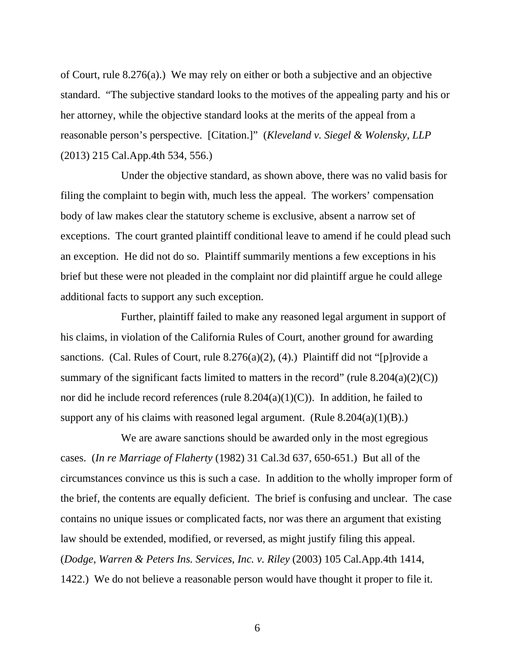of Court, rule 8.276(a).) We may rely on either or both a subjective and an objective standard. "The subjective standard looks to the motives of the appealing party and his or her attorney, while the objective standard looks at the merits of the appeal from a reasonable person's perspective. [Citation.]" (*Kleveland v. Siegel & Wolensky*, *LLP* (2013) 215 Cal.App.4th 534, 556.)

 Under the objective standard, as shown above, there was no valid basis for filing the complaint to begin with, much less the appeal. The workers' compensation body of law makes clear the statutory scheme is exclusive, absent a narrow set of exceptions. The court granted plaintiff conditional leave to amend if he could plead such an exception. He did not do so. Plaintiff summarily mentions a few exceptions in his brief but these were not pleaded in the complaint nor did plaintiff argue he could allege additional facts to support any such exception.

 Further, plaintiff failed to make any reasoned legal argument in support of his claims, in violation of the California Rules of Court, another ground for awarding sanctions. (Cal. Rules of Court, rule  $8.276(a)(2)$ , (4).) Plaintiff did not "[p]rovide a summary of the significant facts limited to matters in the record" (rule  $8.204(a)(2)(C)$ ) nor did he include record references (rule  $8.204(a)(1)(C)$ ). In addition, he failed to support any of his claims with reasoned legal argument. (Rule  $8.204(a)(1)(B)$ .)

 We are aware sanctions should be awarded only in the most egregious cases. (*In re Marriage of Flaherty* (1982) 31 Cal.3d 637, 650-651.) But all of the circumstances convince us this is such a case. In addition to the wholly improper form of the brief, the contents are equally deficient. The brief is confusing and unclear. The case contains no unique issues or complicated facts, nor was there an argument that existing law should be extended, modified, or reversed, as might justify filing this appeal. (*Dodge*, *Warren & Peters Ins. Services*, *Inc. v. Riley* (2003) 105 Cal.App.4th 1414, 1422.) We do not believe a reasonable person would have thought it proper to file it.